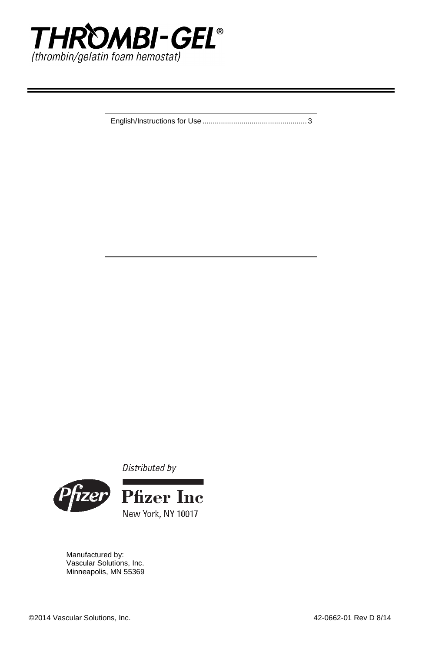

English/Instructions for Use ................................................... 3

Distributed by



New York, NY 10017

Manufactured by: Vascular Solutions, Inc. Minneapolis, MN 55369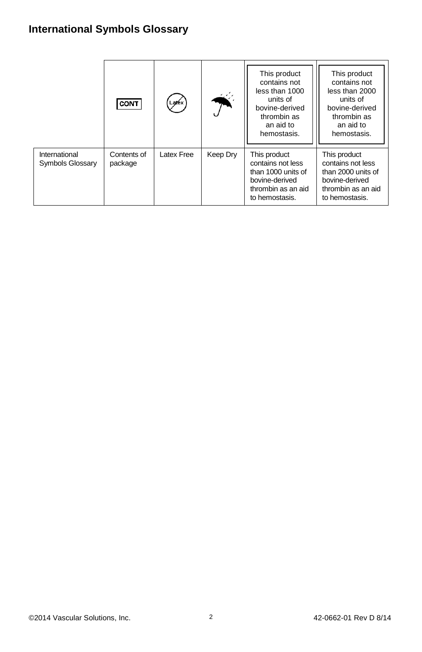# **International Symbols Glossary**

|                                   | CONT                   | Lay€x      |          | This product<br>contains not<br>less than 1000<br>units of<br>bovine-derived<br>thrombin as<br>an aid to<br>hemostasis. | This product<br>contains not<br>less than 2000<br>units of<br>bovine-derived<br>thrombin as<br>an aid to<br>hemostasis. |
|-----------------------------------|------------------------|------------|----------|-------------------------------------------------------------------------------------------------------------------------|-------------------------------------------------------------------------------------------------------------------------|
| International<br>Symbols Glossary | Contents of<br>package | Latex Free | Keep Dry | This product<br>contains not less<br>than 1000 units of<br>bovine-derived<br>thrombin as an aid<br>to hemostasis.       | This product<br>contains not less<br>than 2000 units of<br>bovine-derived<br>thrombin as an aid<br>to hemostasis.       |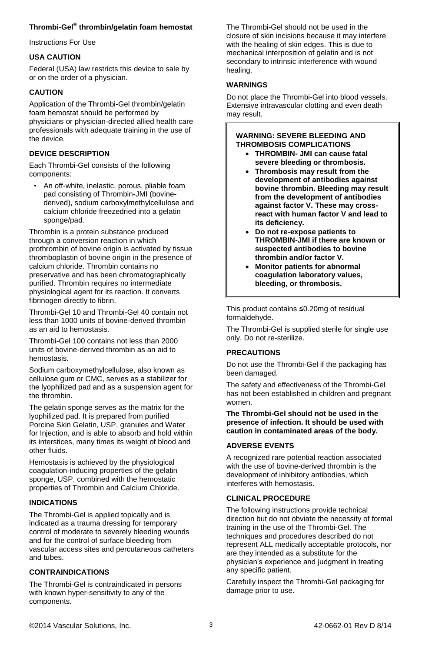## **Thrombi-Gel® thrombin/gelatin foam hemostat**

Instructions For Use

## **USA CAUTION**

Federal (USA) law restricts this device to sale by or on the order of a physician.

# **CAUTION**

Application of the Thrombi-Gel thrombin/gelatin foam hemostat should be performed by physicians or physician-directed allied health care professionals with adequate training in the use of the device.

## **DEVICE DESCRIPTION**

Each Thrombi-Gel consists of the following components:

• An off-white, inelastic, porous, pliable foam pad consisting of Thrombin-JMI (bovinederived), sodium carboxylmethylcellulose and calcium chloride freezedried into a gelatin sponge/pad.

Thrombin is a protein substance produced through a conversion reaction in which prothrombin of bovine origin is activated by tissue thromboplastin of bovine origin in the presence of calcium chloride. Thrombin contains no preservative and has been chromatographically purified. Thrombin requires no intermediate physiological agent for its reaction. It converts fibrinogen directly to fibrin.

Thrombi-Gel 10 and Thrombi-Gel 40 contain not less than 1000 units of bovine-derived thrombin as an aid to hemostasis.

Thrombi-Gel 100 contains not less than 2000 units of bovine-derived thrombin as an aid to hemostasis.

Sodium carboxymethylcellulose, also known as cellulose gum or CMC, serves as a stabilizer for the lyophilized pad and as a suspension agent for the thrombin.

The gelatin sponge serves as the matrix for the lyophilized pad. It is prepared from purified Porcine Skin Gelatin, USP, granules and Water for Injection, and is able to absorb and hold within its interstices, many times its weight of blood and other fluids.

Hemostasis is achieved by the physiological coagulation-inducing properties of the gelatin sponge, USP, combined with the hemostatic properties of Thrombin and Calcium Chloride.

# **INDICATIONS**

The Thrombi-Gel is applied topically and is indicated as a trauma dressing for temporary control of moderate to severely bleeding wounds and for the control of surface bleeding from vascular access sites and percutaneous catheters and tubes.

## **CONTRAINDICATIONS**

The Thrombi-Gel is contraindicated in persons with known hyper-sensitivity to any of the components.

The Thrombi-Gel should not be used in the closure of skin incisions because it may interfere with the healing of skin edges. This is due to mechanical interposition of gelatin and is not secondary to intrinsic interference with wound healing.

## **WARNINGS**

Do not place the Thrombi-Gel into blood vessels. Extensive intravascular clotting and even death may result.

## **WARNING: SEVERE BLEEDING AND THROMBOSIS COMPLICATIONS**

- **THROMBIN- JMI can cause fatal severe bleeding or thrombosis.**
- **Thrombosis may result from the development of antibodies against bovine thrombin. Bleeding may result from the development of antibodies against factor V. These may crossreact with human factor V and lead to its deficiency.**
- **Do not re-expose patients to THROMBIN-JMI if there are known or suspected antibodies to bovine thrombin and/or factor V.**
- **Monitor patients for abnormal coagulation laboratory values, bleeding, or thrombosis.**

This product contains ≤0.20mg of residual formaldehyde.

The Thrombi-Gel is supplied sterile for single use only. Do not re-sterilize.

## **PRECAUTIONS**

Do not use the Thrombi-Gel if the packaging has been damaged.

The safety and effectiveness of the Thrombi-Gel has not been established in children and pregnant women.

#### **The Thrombi-Gel should not be used in the presence of infection. It should be used with caution in contaminated areas of the body.**

## **ADVERSE EVENTS**

A recognized rare potential reaction associated with the use of bovine-derived thrombin is the development of inhibitory antibodies, which interferes with hemostasis.

## **CLINICAL PROCEDURE**

The following instructions provide technical direction but do not obviate the necessity of formal training in the use of the Thrombi-Gel. The techniques and procedures described do not represent ALL medically acceptable protocols, nor are they intended as a substitute for the physician's experience and judgment in treating any specific patient.

Carefully inspect the Thrombi-Gel packaging for damage prior to use.